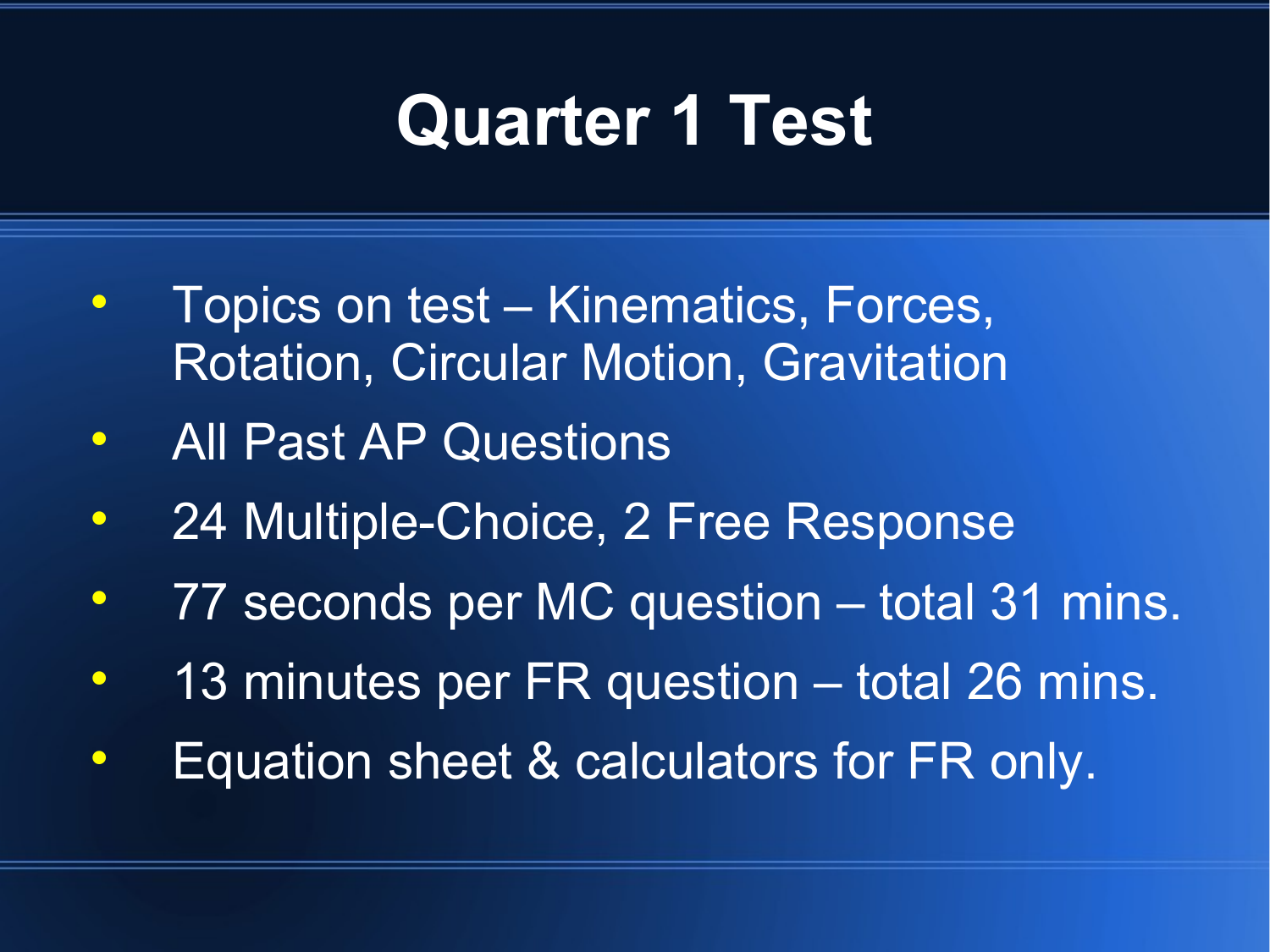### **Quarter 1 Test**

- Topics on test Kinematics, Forces, Rotation, Circular Motion, Gravitation
- All Past AP Questions
- 24 Multiple-Choice, 2 Free Response
- 77 seconds per MC question total 31 mins.
- 13 minutes per FR question total 26 mins.
- **Equation sheet & calculators for FR only.**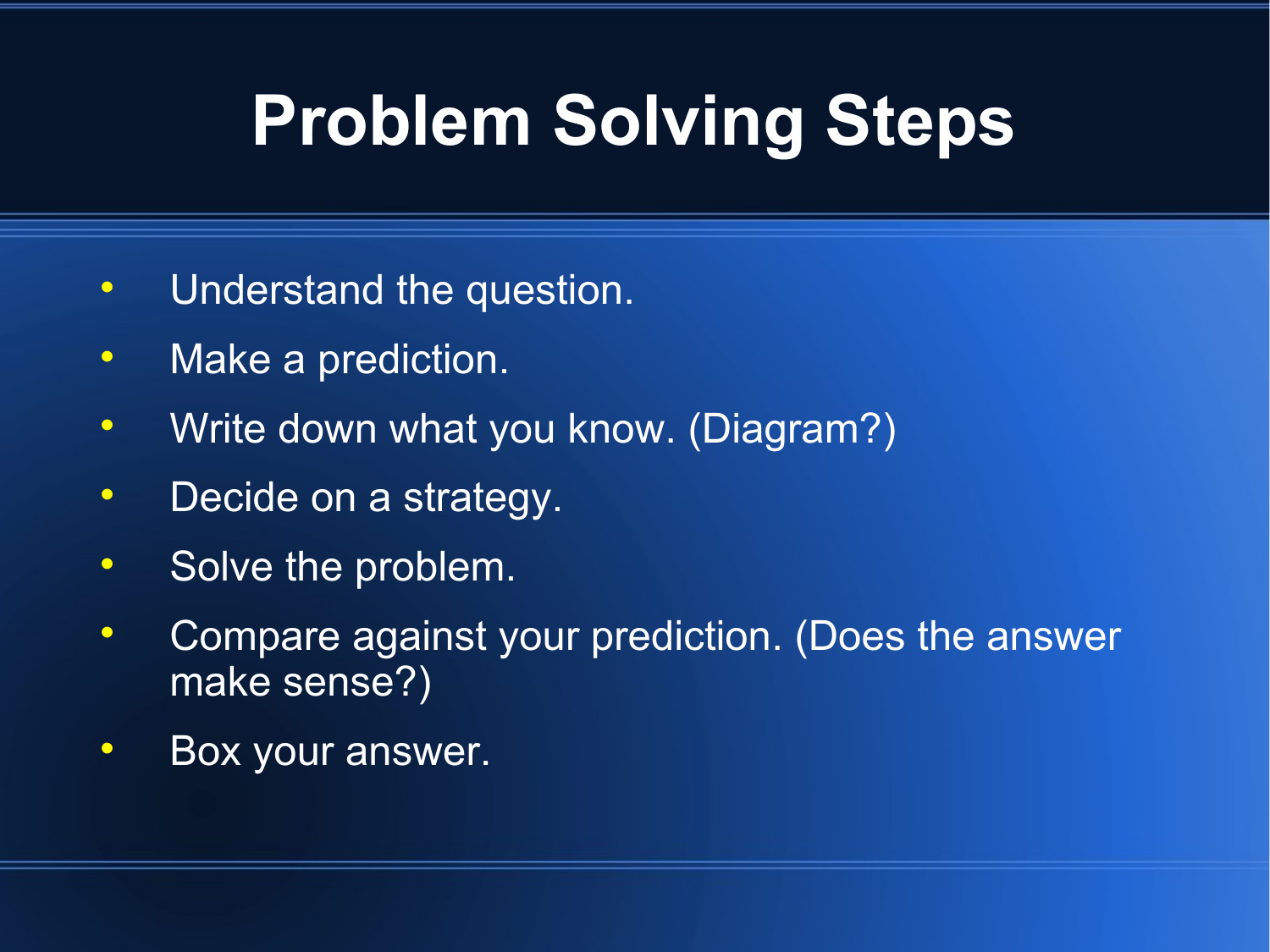## **Problem Solving Steps**

- Understand the question.
- Make a prediction.
- Write down what you know. (Diagram?)
- Decide on a strategy.
- Solve the problem.
- Compare against your prediction. (Does the answer make sense?)
- **Box your answer.**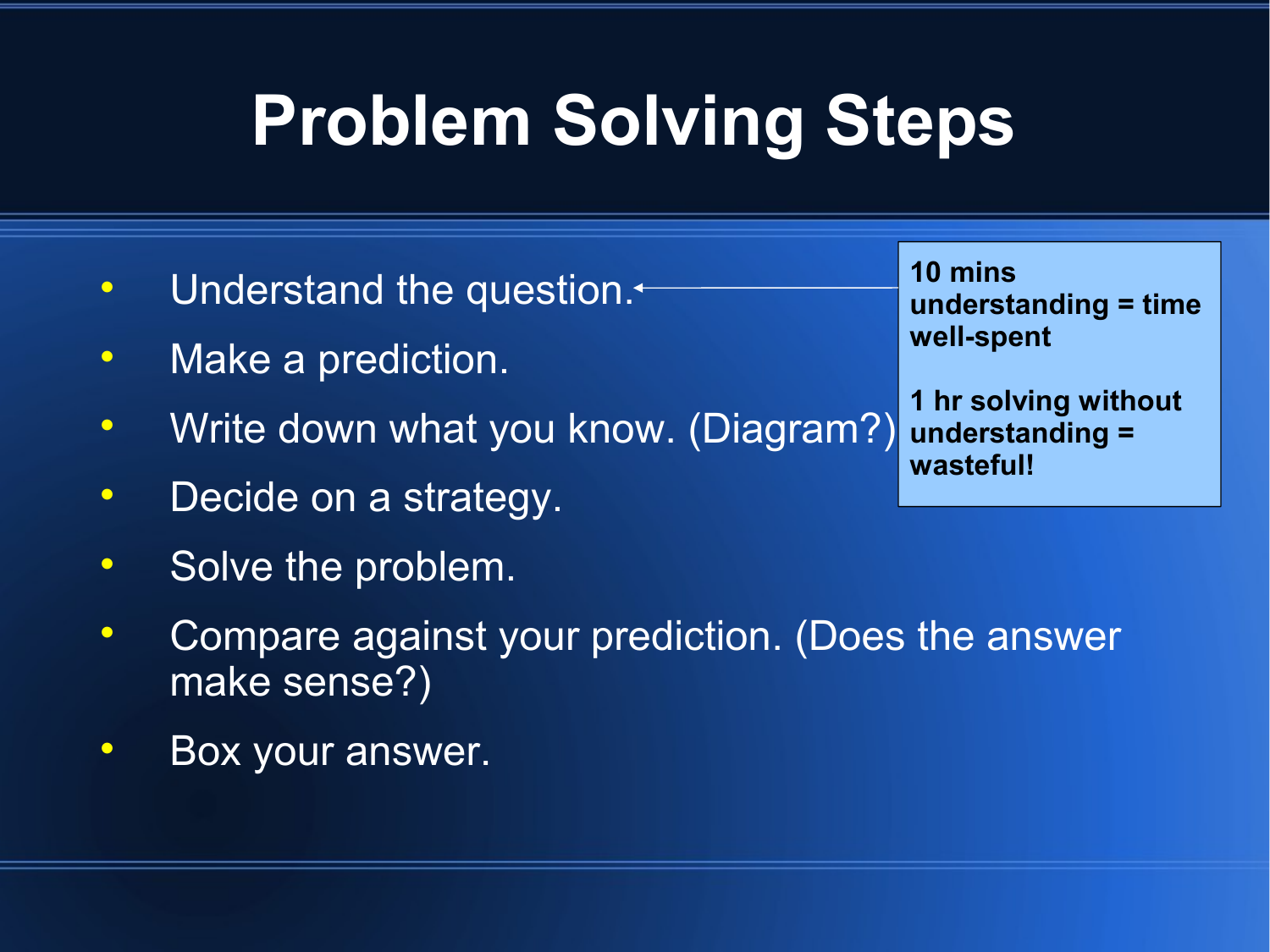# **Problem Solving Steps**

- Understand the question.<sup>+</sup>
- Make a prediction.
- Write down what you know. (Diagram?)
- Decide on a strategy.
- Solve the problem.
- Compare against your prediction. (Does the answer make sense?)
- Box your answer.

| 10 mins              |
|----------------------|
| understanding = time |
| well-spent           |

**1 hr solving without understanding = wasteful!**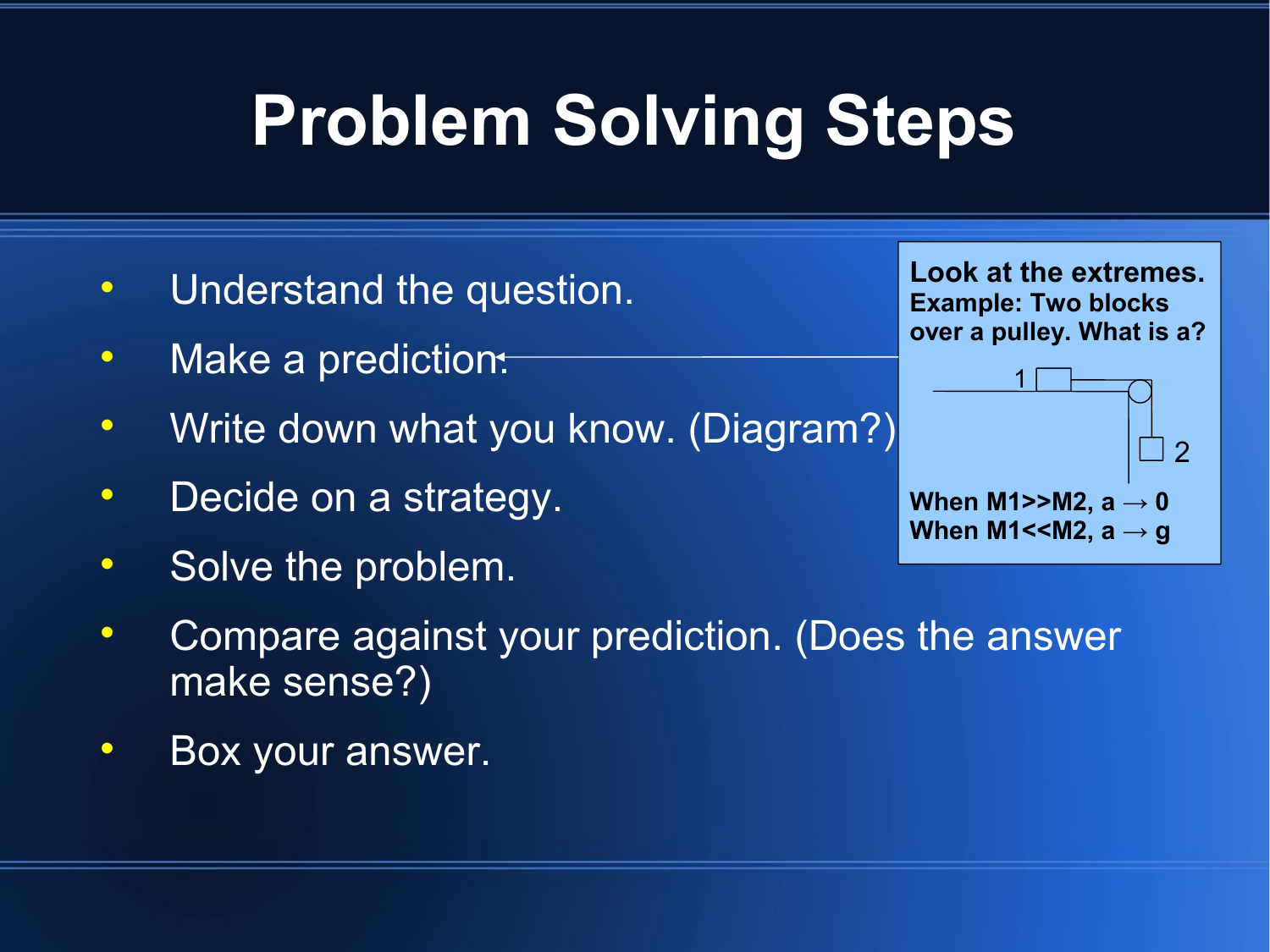# **Problem Solving Steps**

- Understand the question.
- Make a prediction.
- Write down what you know. (Diagram?)
- Decide on a strategy.
- Solve the problem.



**Box your answer.** 

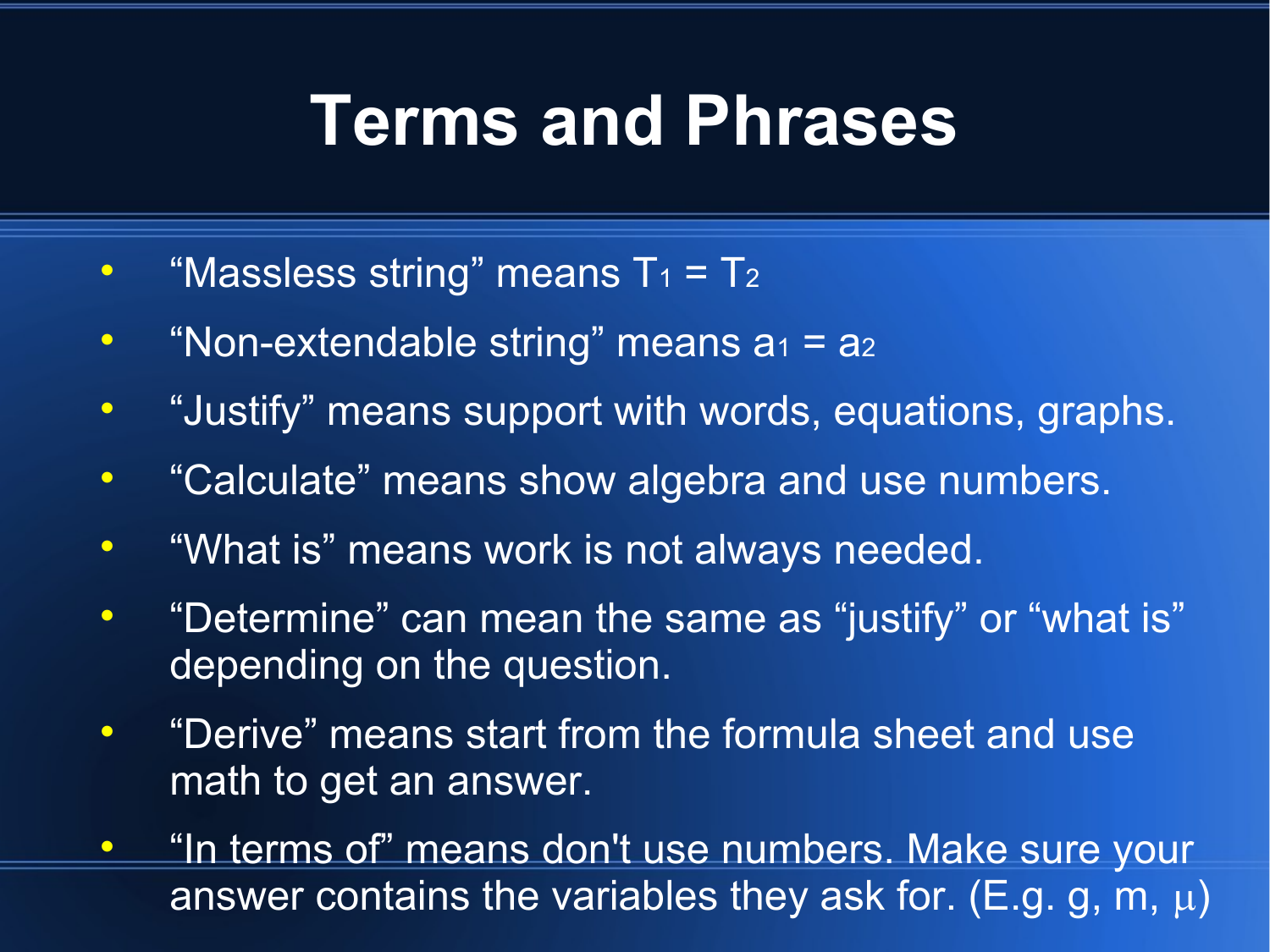#### **Terms and Phrases**

- "Massless string" means  $T_1 = T_2$
- "Non-extendable string" means  $a_1 = a_2$
- "Justify" means support with words, equations, graphs.
- "Calculate" means show algebra and use numbers.
- $\bullet$ "What is" means work is not always needed.
- "Determine" can mean the same as "justify" or "what is" depending on the question.
- "Derive" means start from the formula sheet and use math to get an answer.
- "In terms of" means don't use numbers. Make sure your answer contains the variables they ask for. (E.g. g, m,  $\mu$ )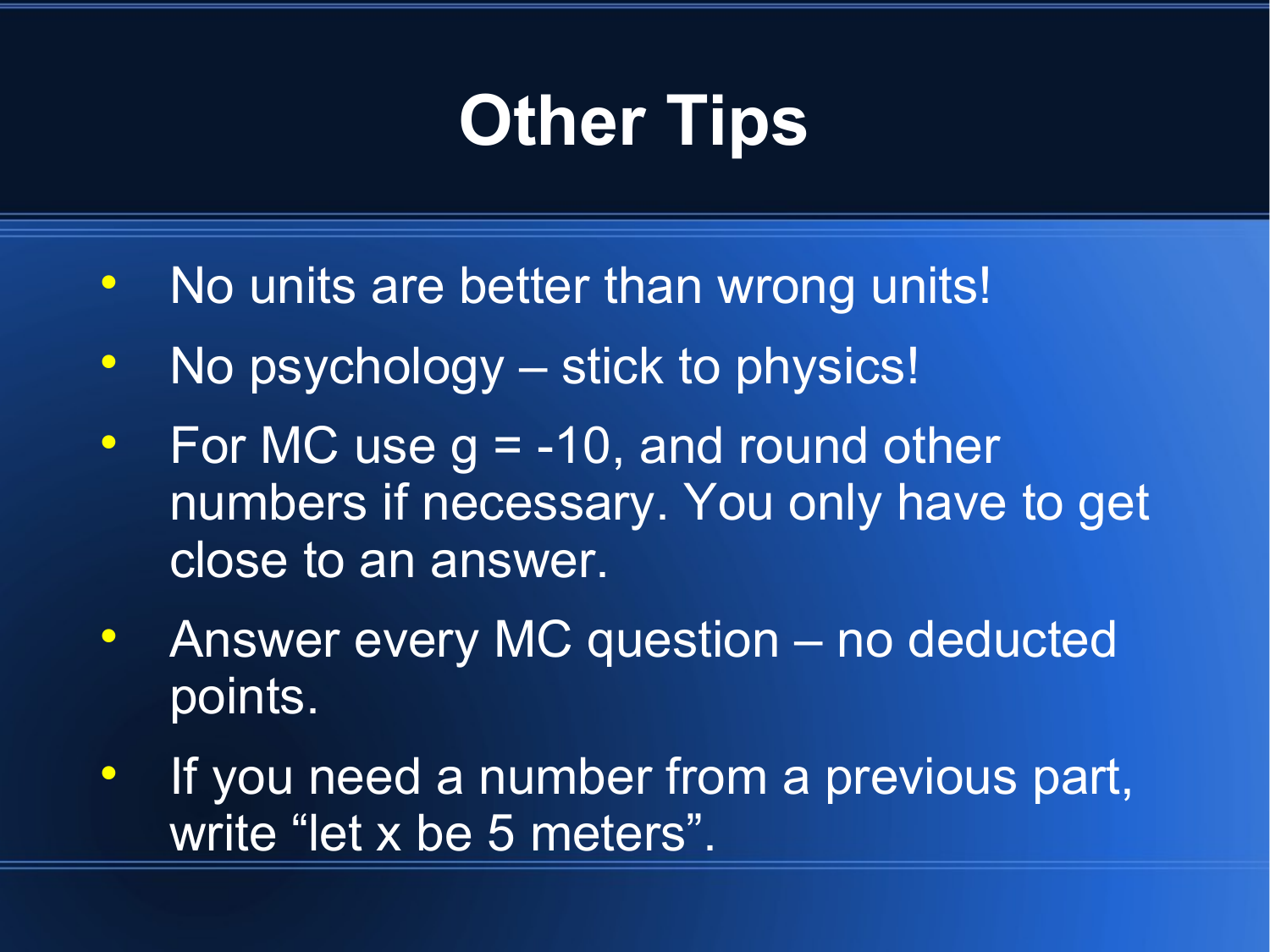# **Other Tips**

- No units are better than wrong units!
- No psychology stick to physics!
- For MC use  $g = -10$ , and round other numbers if necessary. You only have to get close to an answer.
- Answer every MC question no deducted points.
- If you need a number from a previous part, write "let x be 5 meters".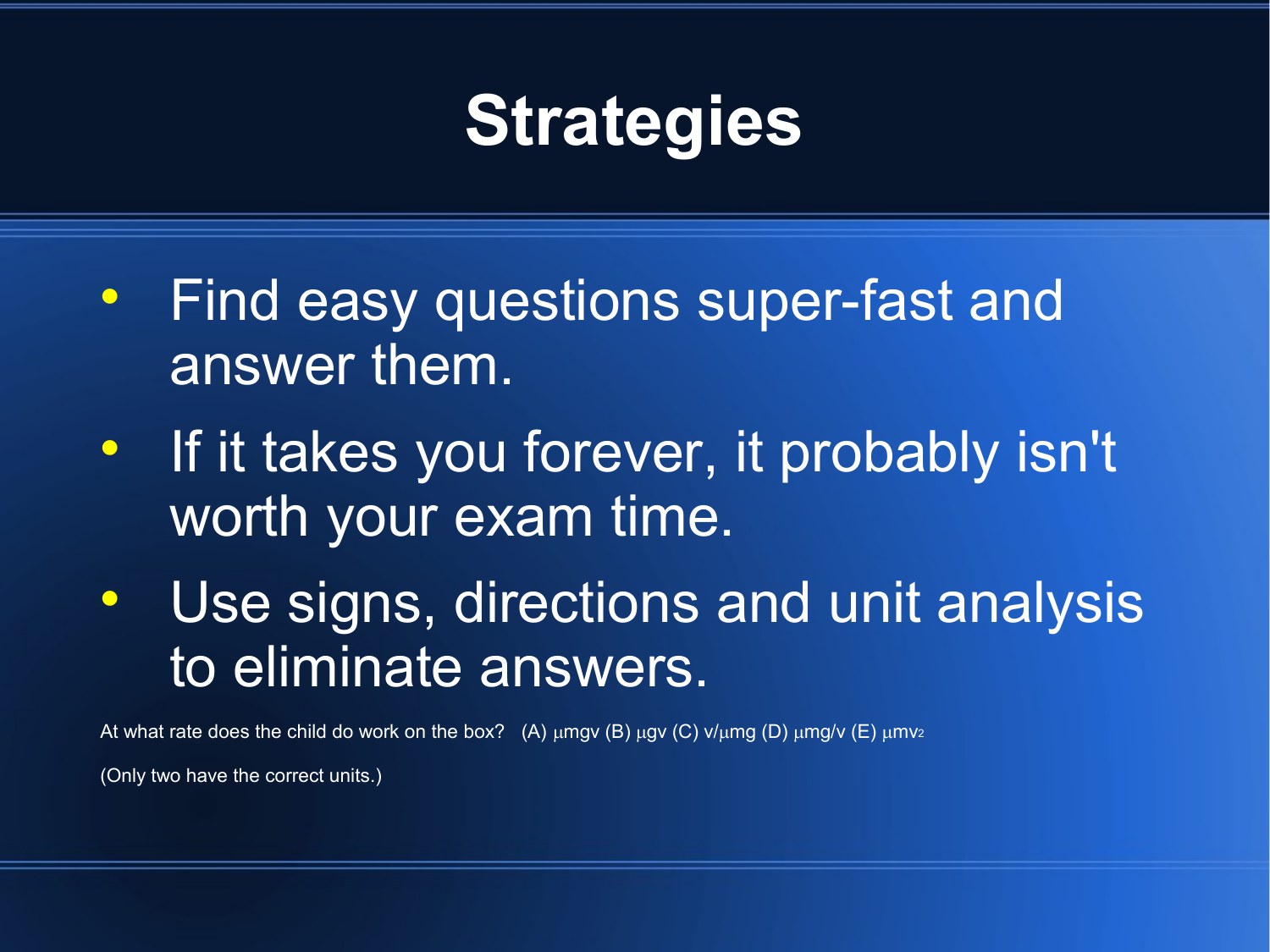### **Strategies**

- **Find easy questions super-fast and** answer them.
- **If it takes you forever, it probably isn't** worth your exam time.
- Use signs, directions and unit analysis to eliminate answers.

At what rate does the child do work on the box? (A)  $\mu$ mgv (B)  $\mu$ gv (C) v/ $\mu$ mg (D)  $\mu$ mg/v (E)  $\mu$ mv<sub>2</sub>

(Only two have the correct units.)